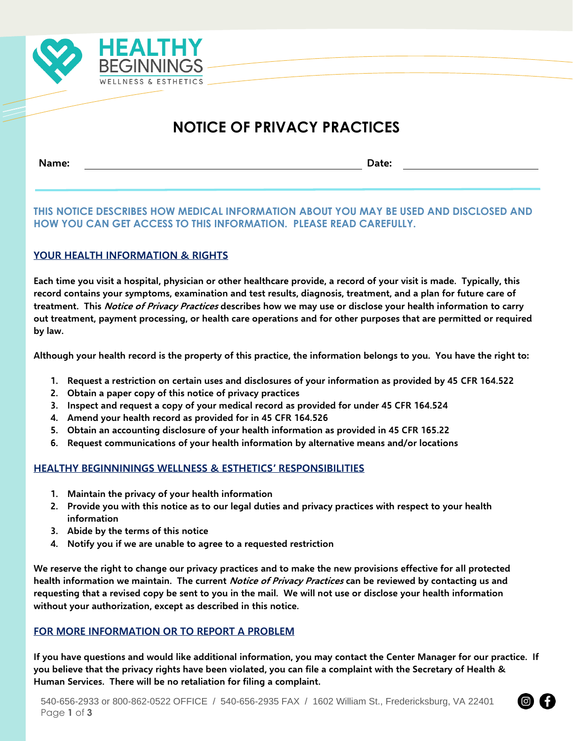

# **NOTICE OF PRIVACY PRACTICES**

**Name: Date:**

## **THIS NOTICE DESCRIBES HOW MEDICAL INFORMATION ABOUT YOU MAY BE USED AND DISCLOSED AND HOW YOU CAN GET ACCESS TO THIS INFORMATION. PLEASE READ CAREFULLY.**

## **YOUR HEALTH INFORMATION & RIGHTS**

**Each time you visit a hospital, physician or other healthcare provide, a record of your visit is made. Typically, this record contains your symptoms, examination and test results, diagnosis, treatment, and a plan for future care of treatment. This Notice of Privacy Practices describes how we may use or disclose your health information to carry out treatment, payment processing, or health care operations and for other purposes that are permitted or required by law.**

**Although your health record is the property of this practice, the information belongs to you. You have the right to:**

- **1. Request a restriction on certain uses and disclosures of your information as provided by 45 CFR 164.522**
- **2. Obtain a paper copy of this notice of privacy practices**
- **3. Inspect and request a copy of your medical record as provided for under 45 CFR 164.524**
- **4. Amend your health record as provided for in 45 CFR 164.526**
- **5. Obtain an accounting disclosure of your health information as provided in 45 CFR 165.22**
- **6. Request communications of your health information by alternative means and/or locations**

### **HEALTHY BEGINNININGS WELLNESS & ESTHETICS' RESPONSIBILITIES**

- **1. Maintain the privacy of your health information**
- **2. Provide you with this notice as to our legal duties and privacy practices with respect to your health information**
- **3. Abide by the terms of this notice**
- **4. Notify you if we are unable to agree to a requested restriction**

**We reserve the right to change our privacy practices and to make the new provisions effective for all protected health information we maintain. The current Notice of Privacy Practices can be reviewed by contacting us and requesting that a revised copy be sent to you in the mail. We will not use or disclose your health information without your authorization, except as described in this notice.**

### **FOR MORE INFORMATION OR TO REPORT A PROBLEM**

**If you have questions and would like additional information, you may contact the Center Manager for our practice. If you believe that the privacy rights have been violated, you can file a complaint with the Secretary of Health & Human Services. There will be no retaliation for filing a complaint.**

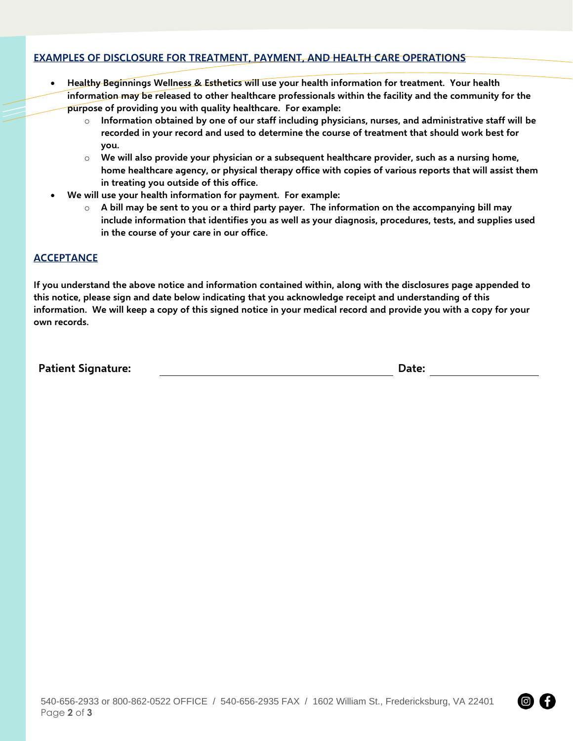### **EXAMPLES OF DISCLOSURE FOR TREATMENT, PAYMENT, AND HEALTH CARE OPERATIONS**

- **Healthy Beginnings Wellness & Esthetics will use your health information for treatment. Your health information may be released to other healthcare professionals within the facility and the community for the purpose of providing you with quality healthcare. For example:**
	- $\circ$  Information obtained by one of our staff including physicians, nurses, and administrative staff will be **recorded in your record and used to determine the course of treatment that should work best for you.**
	- o **We will also provide your physician or a subsequent healthcare provider, such as a nursing home, home healthcare agency, or physical therapy office with copies of various reports that will assist them in treating you outside of this office.**
- **We will use your health information for payment. For example:**
	- o **A bill may be sent to you or a third party payer. The information on the accompanying bill may include information that identifies you as well as your diagnosis, procedures, tests, and supplies used in the course of your care in our office.**

#### **ACCEPTANCE**

**If you understand the above notice and information contained within, along with the disclosures page appended to this notice, please sign and date below indicating that you acknowledge receipt and understanding of this information. We will keep a copy of this signed notice in your medical record and provide you with a copy for your own records.**

**Patient Signature: Date:**